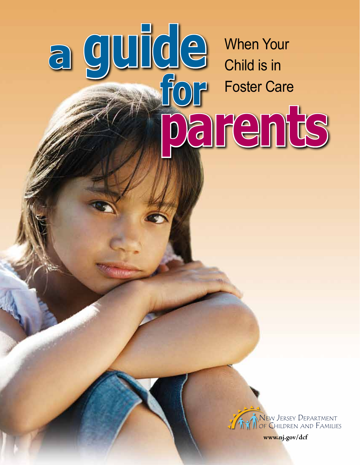When Your Child is in Foster Care

**parents**

guide

**a**



**www.nj.gov/dcf**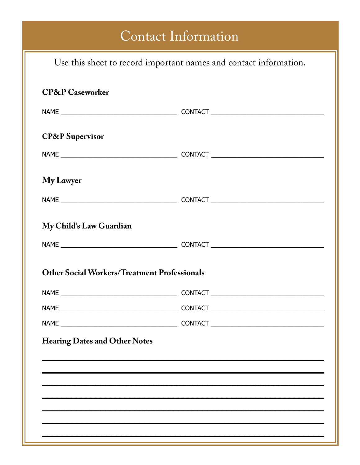# Contact Information

| Use this sheet to record important names and contact information. |  |  |  |  |
|-------------------------------------------------------------------|--|--|--|--|
| <b>CP&amp;P</b> Caseworker                                        |  |  |  |  |
|                                                                   |  |  |  |  |
| <b>CP&amp;P</b> Supervisor                                        |  |  |  |  |
|                                                                   |  |  |  |  |
| My Lawyer                                                         |  |  |  |  |
|                                                                   |  |  |  |  |
| My Child's Law Guardian                                           |  |  |  |  |
|                                                                   |  |  |  |  |
| <b>Other Social Workers/Treatment Professionals</b>               |  |  |  |  |
|                                                                   |  |  |  |  |
|                                                                   |  |  |  |  |
|                                                                   |  |  |  |  |
| <b>Hearing Dates and Other Notes</b>                              |  |  |  |  |
|                                                                   |  |  |  |  |
|                                                                   |  |  |  |  |
|                                                                   |  |  |  |  |
|                                                                   |  |  |  |  |
|                                                                   |  |  |  |  |
|                                                                   |  |  |  |  |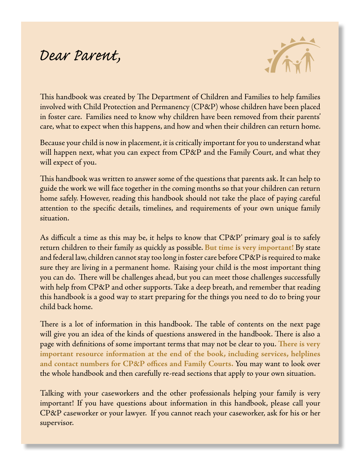# *Dear Parent,*



This handbook was created by The Department of Children and Families to help families involved with Child Protection and Permanency (CP&P) whose children have been placed in foster care. Families need to know why children have been removed from their parents' care, what to expect when this happens, and how and when their children can return home.

Because your child is now in placement, it is critically important for you to understand what will happen next, what you can expect from CP&P and the Family Court, and what they will expect of you.

This handbook was written to answer some of the questions that parents ask. It can help to guide the work we will face together in the coming months so that your children can return home safely. However, reading this handbook should not take the place of paying careful attention to the specific details, timelines, and requirements of your own unique family situation.

As difficult a time as this may be, it helps to know that CP&P' primary goal is to safely return children to their family as quickly as possible. **But time is very important!** By state and federal law, children cannot stay too long in foster care before CP&P is required to make sure they are living in a permanent home. Raising your child is the most important thing you can do. There will be challenges ahead, but you can meet those challenges successfully with help from CP&P and other supports. Take a deep breath, and remember that reading this handbook is a good way to start preparing for the things you need to do to bring your child back home.

There is a lot of information in this handbook. The table of contents on the next page will give you an idea of the kinds of questions answered in the handbook. There is also a page with definitions of some important terms that may not be clear to you. **There is very important resource information at the end of the book, including services, helplines and contact numbers for CP&P offices and Family Courts.** You may want to look over the whole handbook and then carefully re-read sections that apply to your own situation.

Talking with your caseworkers and the other professionals helping your family is very important! If you have questions about information in this handbook, please call your CP&P caseworker or your lawyer. If you cannot reach your caseworker, ask for his or her supervisor.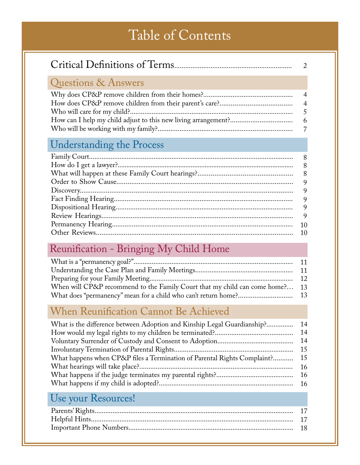# Table of Contents

|                     | $\mathcal{D}_{\mathcal{L}}$ |
|---------------------|-----------------------------|
| Questions & Answers |                             |
|                     |                             |
|                     |                             |

Who will be working with my family?..........................................................................

7

## Understanding the Process

## Reunification - Bringing My Child Home

| When will CP&P recommend to the Family Court that my child can come home? 13 |  |
|------------------------------------------------------------------------------|--|
|                                                                              |  |

## When Reunification Cannot Be Achieved

| What is the difference between Adoption and Kinship Legal Guardianship?  | -14  |
|--------------------------------------------------------------------------|------|
|                                                                          | 14   |
|                                                                          | 14   |
|                                                                          | 15   |
| What happens when CP&P files a Termination of Parental Rights Complaint? | 15   |
|                                                                          | 16   |
|                                                                          | - 16 |
|                                                                          |      |
|                                                                          |      |

## Use your Resources!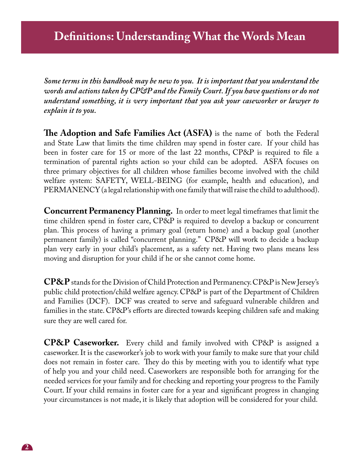*Some terms in this handbook may be new to you. It is important that you understand the words and actions taken by CP&P and the Family Court. If you have questions or do not understand something, it is very important that you ask your caseworker or lawyer to explain it to you.* 

**The Adoption and Safe Families Act (ASFA)** is the name of both the Federal and State Law that limits the time children may spend in foster care. If your child has been in foster care for 15 or more of the last 22 months, CP&P is required to file a termination of parental rights action so your child can be adopted. ASFA focuses on three primary objectives for all children whose families become involved with the child welfare system: SAFETY, WELL-BEING (for example, health and education), and PERMANENCY (a legal relationship with one family that will raise the child to adulthood).

**Concurrent Permanency Planning.** In order to meet legal timeframes that limit the time children spend in foster care, CP&P is required to develop a backup or concurrent plan. This process of having a primary goal (return home) and a backup goal (another permanent family) is called "concurrent planning." CP&P will work to decide a backup plan very early in your child's placement, as a safety net. Having two plans means less moving and disruption for your child if he or she cannot come home.

**CP&P** stands for the Division of Child Protection and Permanency. CP&P is New Jersey's public child protection/child welfare agency. CP&P is part of the Department of Children and Families (DCF). DCF was created to serve and safeguard vulnerable children and families in the state. CP&P's efforts are directed towards keeping children safe and making sure they are well cared for.

**CP&P Caseworker.** Every child and family involved with CP&P is assigned a caseworker. It is the caseworker's job to work with your family to make sure that your child does not remain in foster care. They do this by meeting with you to identify what type of help you and your child need. Caseworkers are responsible both for arranging for the needed services for your family and for checking and reporting your progress to the Family Court. If your child remains in foster care for a year and significant progress in changing your circumstances is not made, it is likely that adoption will be considered for your child.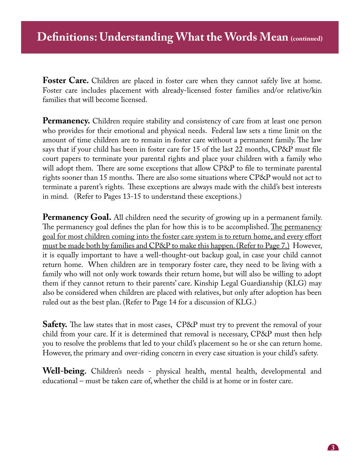**Foster Care.** Children are placed in foster care when they cannot safely live at home. Foster care includes placement with already-licensed foster families and/or relative/kin families that will become licensed.

**Permanency.** Children require stability and consistency of care from at least one person who provides for their emotional and physical needs. Federal law sets a time limit on the amount of time children are to remain in foster care without a permanent family. The law says that if your child has been in foster care for 15 of the last 22 months, CP&P must file court papers to terminate your parental rights and place your children with a family who will adopt them. There are some exceptions that allow CP&P to file to terminate parental rights sooner than 15 months. There are also some situations where CP&P would not act to terminate a parent's rights. These exceptions are always made with the child's best interests in mind. (Refer to Pages 13-15 to understand these exceptions.)

**Permanency Goal.** All children need the security of growing up in a permanent family. The permanency goal defines the plan for how this is to be accomplished. The permanency goal for most children coming into the foster care system is to return home, and every effort must be made both by families and CP&P to make this happen. (Refer to Page 7.) However, it is equally important to have a well-thought-out backup goal, in case your child cannot return home. When children are in temporary foster care, they need to be living with a family who will not only work towards their return home, but will also be willing to adopt them if they cannot return to their parents' care. Kinship Legal Guardianship (KLG) may also be considered when children are placed with relatives, but only after adoption has been ruled out as the best plan. (Refer to Page 14 for a discussion of KLG.)

**Safety.** The law states that in most cases, CP&P must try to prevent the removal of your child from your care. If it is determined that removal is necessary, CP&P must then help you to resolve the problems that led to your child's placement so he or she can return home. However, the primary and over-riding concern in every case situation is your child's safety.

**Well-being.** Children's needs - physical health, mental health, developmental and educational – must be taken care of, whether the child is at home or in foster care.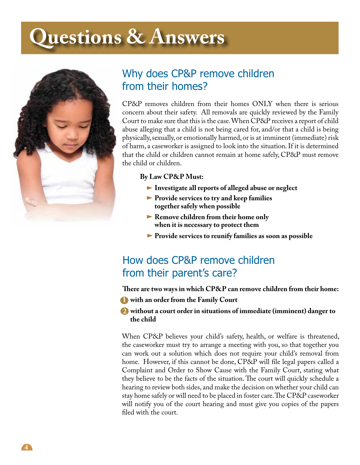# **Questions & Answers**



## Why does CP&P remove children from their homes?

CP&P removes children from their homes ONLY when there is serious concern about their safety. All removals are quickly reviewed by the Family Court to make sure that this is the case. When CP&P receives a report of child abuse alleging that a child is not being cared for, and/or that a child is being physically, sexually, or emotionally harmed, or is at imminent (immediate) risk of harm, a caseworker is assigned to look into the situation. If it is determined that the child or children cannot remain at home safely, CP&P must remove the child or children.

## **By Law CP&P Must:**

- **Investigate all reports of alleged abuse or neglect**
- **Provide services to try and keep families together safely when possible**
- **Remove children from their home only when it is necessary to protect them**
- **Provide services to reunify families as soon as possible**

## How does CP&P remove children from their parent's care?

**There are two ways in which CP&P can remove children from their home:**

**1 with an order from the Family Court**

## **without a court order in situations of immediate (imminent) danger to 2 the child**

When CP&P believes your child's safety, health, or welfare is threatened, the caseworker must try to arrange a meeting with you, so that together you can work out a solution which does not require your child's removal from home. However, if this cannot be done, CP&P will file legal papers called a Complaint and Order to Show Cause with the Family Court, stating what they believe to be the facts of the situation. The court will quickly schedule a hearing to review both sides, and make the decision on whether your child can stay home safely or will need to be placed in foster care. The CP&P caseworker will notify you of the court hearing and must give you copies of the papers filed with the court.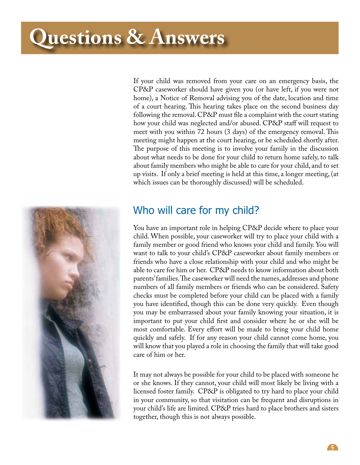# **Questions & Answers**



If your child was removed from your care on an emergency basis, the CP&P caseworker should have given you (or have left, if you were not home), a Notice of Removal advising you of the date, location and time of a court hearing. This hearing takes place on the second business day following the removal. CP&P must file a complaint with the court stating how your child was neglected and/or abused. CP&P staff will request to meet with you within 72 hours (3 days) of the emergency removal. This meeting might happen at the court hearing, or be scheduled shortly after. The purpose of this meeting is to involve your family in the discussion about what needs to be done for your child to return home safely, to talk about family members who might be able to care for your child, and to set up visits. If only a brief meeting is held at this time, a longer meeting, (at which issues can be thoroughly discussed) will be scheduled.

## Who will care for my child?

You have an important role in helping CP&P decide where to place your child. When possible, your caseworker will try to place your child with a family member or good friend who knows your child and family. You will want to talk to your child's CP&P caseworker about family members or friends who have a close relationship with your child and who might be able to care for him or her. CP&P needs to know information about both parents' families. The caseworker will need the names, addresses and phone numbers of all family members or friends who can be considered. Safety checks must be completed before your child can be placed with a family you have identified, though this can be done very quickly. Even though you may be embarrassed about your family knowing your situation, it is important to put your child first and consider where he or she will be most comfortable. Every effort will be made to bring your child home quickly and safely. If for any reason your child cannot come home, you will know that you played a role in choosing the family that will take good care of him or her.

It may not always be possible for your child to be placed with someone he or she knows. If they cannot, your child will most likely be living with a licensed foster family. CP&P is obligated to try hard to place your child in your community, so that visitation can be frequent and disruptions in your child's life are limited. CP&P tries hard to place brothers and sisters together, though this is not always possible.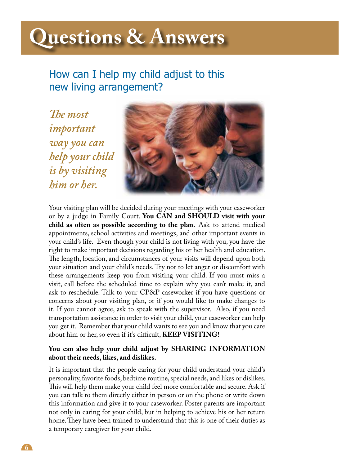# **Questions & Answers**

How can I help my child adjust to this new living arrangement?

*The most important way you can help your child is by visiting him or her.*



Your visiting plan will be decided during your meetings with your caseworker or by a judge in Family Court. **You CAN and SHOULD visit with your child as often as possible according to the plan.** Ask to attend medical appointments, school activities and meetings, and other important events in your child's life. Even though your child is not living with you, you have the right to make important decisions regarding his or her health and education. The length, location, and circumstances of your visits will depend upon both your situation and your child's needs. Try not to let anger or discomfort with these arrangements keep you from visiting your child. If you must miss a visit, call before the scheduled time to explain why you can't make it, and ask to reschedule. Talk to your CP&P caseworker if you have questions or concerns about your visiting plan, or if you would like to make changes to it. If you cannot agree, ask to speak with the supervisor. Also, if you need transportation assistance in order to visit your child, your caseworker can help you get it. Remember that your child wants to see you and know that you care about him or her, so even if it's difficult, **KEEP VISITING!**

## **You can also help your child adjust by SHARING INFORMATION about their needs, likes, and dislikes.**

It is important that the people caring for your child understand your child's personality, favorite foods, bedtime routine, special needs, and likes or dislikes. This will help them make your child feel more comfortable and secure. Ask if you can talk to them directly either in person or on the phone or write down this information and give it to your caseworker. Foster parents are important not only in caring for your child, but in helping to achieve his or her return home. They have been trained to understand that this is one of their duties as a temporary caregiver for your child.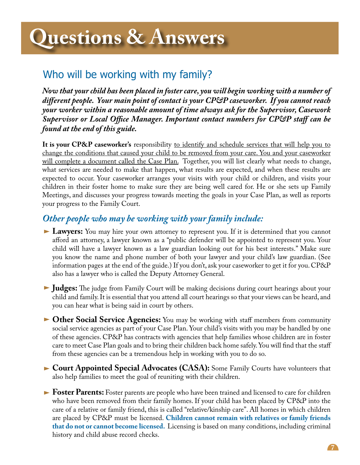## Who will be working with my family?

*Now that your child has been placed in foster care, you will begin working with a number of different people. Your main point of contact is your CP&P caseworker. If you cannot reach your worker within a reasonable amount of time always ask for the Supervisor, Casework Supervisor or Local Office Manager. Important contact numbers for CP&P staff can be found at the end of this guide.* 

**It is your CP&P caseworker's** responsibility to identify and schedule services that will help you to change the conditions that caused your child to be removed from your care. You and your caseworker will complete a document called the Case Plan. Together, you will list clearly what needs to change, what services are needed to make that happen, what results are expected, and when these results are expected to occur. Your caseworker arranges your visits with your child or children, and visits your children in their foster home to make sure they are being well cared for. He or she sets up Family Meetings, and discusses your progress towards meeting the goals in your Case Plan, as well as reports your progress to the Family Court.

## *Other people who may be working with your family include:*

- **Lawyers:** You may hire your own attorney to represent you. If it is determined that you cannot afford an attorney, a lawyer known as a "public defender will be appointed to represent you. Your child will have a lawyer known as a law guardian looking out for his best interests." Make sure you know the name and phone number of both your lawyer and your child's law guardian. (See information pages at the end of the guide.) If you don't, ask your caseworker to get it for you. CP&P also has a lawyer who is called the Deputy Attorney General.
- **Judges:** The judge from Family Court will be making decisions during court hearings about your child and family. It is essential that you attend all court hearings so that your views can be heard, and you can hear what is being said in court by others.
- **Other Social Service Agencies:** You may be working with staff members from community social service agencies as part of your Case Plan. Your child's visits with you may be handled by one of these agencies. CP&P has contracts with agencies that help families whose children are in foster care to meet Case Plan goals and to bring their children back home safely. You will find that the staff from these agencies can be a tremendous help in working with you to do so.
- **Court Appointed Special Advocates (CASA):** Some Family Courts have volunteers that also help families to meet the goal of reuniting with their children.
- **Foster Parents:** Foster parents are people who have been trained and licensed to care for children who have been removed from their family homes. If your child has been placed by CP&P into the care of a relative or family friend, this is called "relative/kinship care". All homes in which children are placed by CP&P must be licensed. **Children cannot remain with relatives or family friends that do not or cannot become licensed.** Licensing is based on many conditions, including criminal history and child abuse record checks.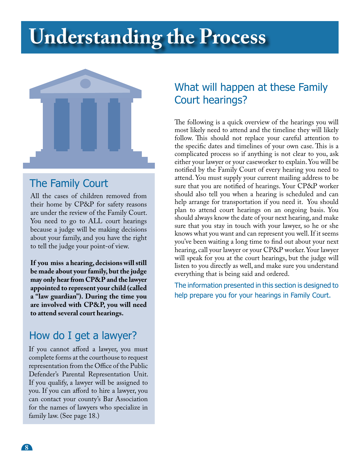# **Understanding the Process**



## The Family Court

All the cases of children removed from their home by CP&P for safety reasons are under the review of the Family Court. You need to go to ALL court hearings because a judge will be making decisions about your family, and you have the right to tell the judge your point-of view.

**If you miss a hearing, decisions will still be made about your family, but the judge may only hear from CP&P and the lawyer appointed to represent your child (called a "law guardian"). During the time you are involved with CP&P, you will need to attend several court hearings.** 

## How do I get a lawyer?

If you cannot afford a lawyer, you must complete forms at the courthouse to request representation from the Office of the Public Defender's Parental Representation Unit. If you qualify, a lawyer will be assigned to you. If you can afford to hire a lawyer, you can contact your county's Bar Association for the names of lawyers who specialize in family law. (See page 18.)

## What will happen at these Family Court hearings?

The following is a quick overview of the hearings you will most likely need to attend and the timeline they will likely follow. This should not replace your careful attention to the specific dates and timelines of your own case. This is a complicated process so if anything is not clear to you, ask either your lawyer or your caseworker to explain. You will be notified by the Family Court of every hearing you need to attend. You must supply your current mailing address to be sure that you are notified of hearings. Your CP&P worker should also tell you when a hearing is scheduled and can help arrange for transportation if you need it. You should plan to attend court hearings on an ongoing basis. You should always know the date of your next hearing, and make sure that you stay in touch with your lawyer, so he or she knows what you want and can represent you well. If it seems you've been waiting a long time to find out about your next hearing, call your lawyer or your CP&P worker. Your lawyer will speak for you at the court hearings, but the judge will listen to you directly as well, and make sure you understand everything that is being said and ordered.

The information presented in this section is designed to help prepare you for your hearings in Family Court.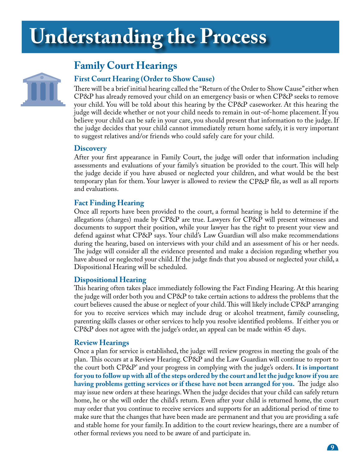# **Understanding the Process**



## **Family Court Hearings**

## **First Court Hearing (Order to Show Cause)**

There will be a brief initial hearing called the "Return of the Order to Show Cause" either when CP&P has already removed your child on an emergency basis or when CP&P seeks to remove your child. You will be told about this hearing by the CP&P caseworker. At this hearing the judge will decide whether or not your child needs to remain in out-of-home placement. If you believe your child can be safe in your care, you should present that information to the judge. If the judge decides that your child cannot immediately return home safely, it is very important to suggest relatives and/or friends who could safely care for your child.

## **Discovery**

After your first appearance in Family Court, the judge will order that information including assessments and evaluations of your family's situation be provided to the court. This will help the judge decide if you have abused or neglected your children, and what would be the best temporary plan for them. Your lawyer is allowed to review the CP&P file, as well as all reports and evaluations.

## **Fact Finding Hearing**

Once all reports have been provided to the court, a formal hearing is held to determine if the allegations (charges) made by CP&P are true. Lawyers for CP&P will present witnesses and documents to support their position, while your lawyer has the right to present your view and defend against what CP&P says. Your child's Law Guardian will also make recommendations during the hearing, based on interviews with your child and an assessment of his or her needs. The judge will consider all the evidence presented and make a decision regarding whether you have abused or neglected your child. If the judge finds that you abused or neglected your child, a Dispositional Hearing will be scheduled.

## **Dispositional Hearing**

This hearing often takes place immediately following the Fact Finding Hearing. At this hearing the judge will order both you and CP&P to take certain actions to address the problems that the court believes caused the abuse or neglect of your child. This will likely include CP&P arranging for you to receive services which may include drug or alcohol treatment, family counseling, parenting skills classes or other services to help you resolve identified problems. If either you or CP&P does not agree with the judge's order, an appeal can be made within 45 days.

## **Review Hearings**

Once a plan for service is established, the judge will review progress in meeting the goals of the plan. This occurs at a Review Hearing. CP&P and the Law Guardian will continue to report to the court both CP&P' and your progress in complying with the judge's orders. **It is important for you to follow up with all of the steps ordered by the court and let the judge know if you are having problems getting services or if these have not been arranged for you.** The judge also may issue new orders at these hearings. When the judge decides that your child can safely return home, he or she will order the child's return. Even after your child is returned home, the court may order that you continue to receive services and supports for an additional period of time to make sure that the changes that have been made are permanent and that you are providing a safe and stable home for your family. In addition to the court review hearings, there are a number of other formal reviews you need to be aware of and participate in.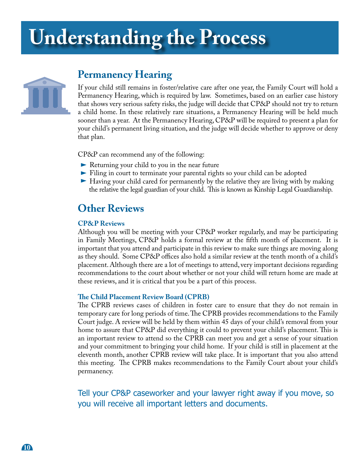# **Understanding the Process**



## **Permanency Hearing**

If your child still remains in foster/relative care after one year, the Family Court will hold a Permanency Hearing, which is required by law. Sometimes, based on an earlier case history that shows very serious safety risks, the judge will decide that CP&P should not try to return a child home. In these relatively rare situations, a Permanency Hearing will be held much sooner than a year. At the Permanency Hearing, CP&P will be required to present a plan for your child's permanent living situation, and the judge will decide whether to approve or deny that plan.

CP&P can recommend any of the following:

- Returning your child to you in the near future
- Filing in court to terminate your parental rights so your child can be adopted
- Having your child cared for permanently by the relative they are living with by making the relative the legal guardian of your child. This is known as Kinship Legal Guardianship.

## **Other Reviews**

### **CP&P Reviews**

Although you will be meeting with your CP&P worker regularly, and may be participating in Family Meetings, CP&P holds a formal review at the fifth month of placement. It is important that you attend and participate in this review to make sure things are moving along as they should. Some CP&P offices also hold a similar review at the tenth month of a child's placement. Although there are a lot of meetings to attend, very important decisions regarding recommendations to the court about whether or not your child will return home are made at these reviews, and it is critical that you be a part of this process.

### **The Child Placement Review Board (CPRB)**

The CPRB reviews cases of children in foster care to ensure that they do not remain in temporary care for long periods of time. The CPRB provides recommendations to the Family Court judge. A review will be held by them within 45 days of your child's removal from your home to assure that CP&P did everything it could to prevent your child's placement. This is an important review to attend so the CPRB can meet you and get a sense of your situation and your commitment to bringing your child home. If your child is still in placement at the eleventh month, another CPRB review will take place. It is important that you also attend this meeting. The CPRB makes recommendations to the Family Court about your child's permanency.

Tell your CP&P caseworker and your lawyer right away if you move, so you will receive all important letters and documents.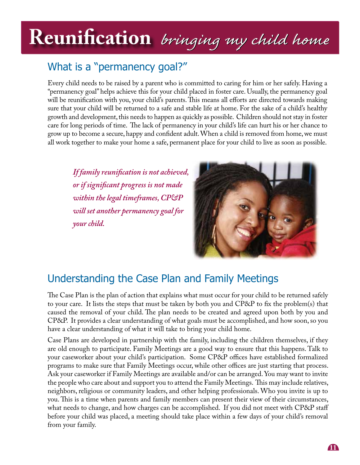# **Understanding the Process Reunification** *bringing my child home bringing my child home* **Reunification** *bringing my child home*

## What is a "permanency goal?"

Every child needs to be raised by a parent who is committed to caring for him or her safely. Having a "permanency goal" helps achieve this for your child placed in foster care. Usually, the permanency goal will be reunification with you, your child's parents. This means all efforts are directed towards making sure that your child will be returned to a safe and stable life at home. For the sake of a child's healthy growth and development, this needs to happen as quickly as possible. Children should not stay in foster care for long periods of time. The lack of permanency in your child's life can hurt his or her chance to grow up to become a secure, happy and confident adult. When a child is removed from home, we must all work together to make your home a safe, permanent place for your child to live as soon as possible.

*If family reunification is not achieved, or if significant progress is not made within the legal timeframes, CP&P will set another permanency goal for your child.* 



## Understanding the Case Plan and Family Meetings

The Case Plan is the plan of action that explains what must occur for your child to be returned safely to your care. It lists the steps that must be taken by both you and CP&P to fix the problem(s) that caused the removal of your child. The plan needs to be created and agreed upon both by you and CP&P. It provides a clear understanding of what goals must be accomplished, and how soon, so you have a clear understanding of what it will take to bring your child home.

Case Plans are developed in partnership with the family, including the children themselves, if they are old enough to participate. Family Meetings are a good way to ensure that this happens. Talk to your caseworker about your child's participation. Some CP&P offices have established formalized programs to make sure that Family Meetings occur, while other offices are just starting that process. Ask your caseworker if Family Meetings are available and/or can be arranged. You may want to invite the people who care about and support you to attend the Family Meetings. This may include relatives, neighbors, religious or community leaders, and other helping professionals. Who you invite is up to you. This is a time when parents and family members can present their view of their circumstances, what needs to change, and how charges can be accomplished. If you did not meet with CP&P staff before your child was placed, a meeting should take place within a few days of your child's removal from your family.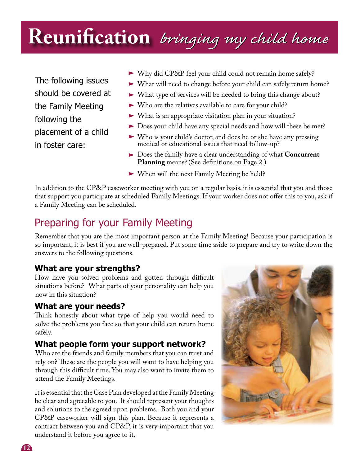# **Reunification** *bringing my child home bringing my child home*

The following issues should be covered at the Family Meeting following the placement of a child in foster care:

- Why did CP&P feel your child could not remain home safely?
- What will need to change before your child can safely return home?
- What type of services will be needed to bring this change about?
- Who are the relatives available to care for your child?
- What is an appropriate visitation plan in your situation?
- Does your child have any special needs and how will these be met?
- Who is your child's doctor, and does he or she have any pressing medical or educational issues that need follow-up?
- Does the family have a clear understanding of what **Concurrent Planning** means? (See definitions on Page 2.)
- When will the next Family Meeting be held?

In addition to the CP&P caseworker meeting with you on a regular basis, it is essential that you and those that support you participate at scheduled Family Meetings. If your worker does not offer this to you, ask if a Family Meeting can be scheduled.

## Preparing for your Family Meeting

Remember that you are the most important person at the Family Meeting! Because your participation is so important, it is best if you are well-prepared. Put some time aside to prepare and try to write down the answers to the following questions.

## **What are your strengths?**

How have you solved problems and gotten through difficult situations before? What parts of your personality can help you now in this situation?

## **What are your needs?**

Think honestly about what type of help you would need to solve the problems you face so that your child can return home safely.

## **What people form your support network?**

Who are the friends and family members that you can trust and rely on? These are the people you will want to have helping you through this difficult time. You may also want to invite them to attend the Family Meetings.

It is essential that the Case Plan developed at the Family Meeting be clear and agreeable to you. It should represent your thoughts and solutions to the agreed upon problems. Both you and your CP&P caseworker will sign this plan. Because it represents a contract between you and CP&P, it is very important that you understand it before you agree to it.



**12**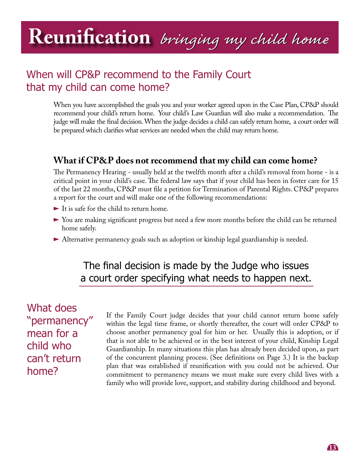# **Reunification** *bringing my child home bringing my child home*

## When will CP&P recommend to the Family Court that my child can come home?

When you have accomplished the goals you and your worker agreed upon in the Case Plan, CP&P should recommend your child's return home. Your child's Law Guardian will also make a recommendation. The judge will make the final decision. When the judge decides a child can safely return home, a court order will be prepared which clarifies what services are needed when the child may return home.

## **What if CP&P does not recommend that my child can come home?**

The Permanency Hearing - usually held at the twelfth month after a child's removal from home - is a critical point in your child's case. The federal law says that if your child has been in foster care for 15 of the last 22 months, CP&P must file a petition for Termination of Parental Rights. CP&P prepares a report for the court and will make one of the following recommendations:

- It is safe for the child to return home.
- You are making significant progress but need a few more months before the child can be returned home safely.
- Alternative permanency goals such as adoption or kinship legal guardianship is needed.

## The final decision is made by the Judge who issues a court order specifying what needs to happen next.

What does "permanency" mean for a child who can't return home?

If the Family Court judge decides that your child cannot return home safely within the legal time frame, or shortly thereafter, the court will order CP&P to choose another permanency goal for him or her. Usually this is adoption, or if that is not able to be achieved or in the best interest of your child, Kinship Legal Guardianship. In many situations this plan has already been decided upon, as part of the concurrent planning process. (See definitions on Page 3.) It is the backup plan that was established if reunification with you could not be achieved. Our commitment to permanency means we must make sure every child lives with a family who will provide love, support, and stability during childhood and beyond.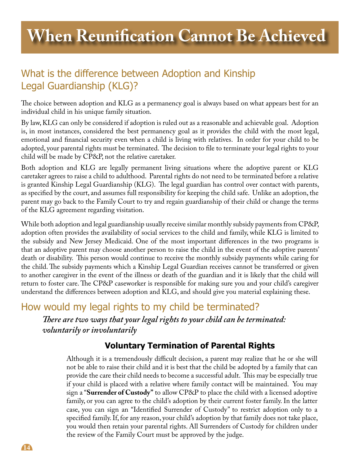## What is the difference between Adoption and Kinship Legal Guardianship (KLG)?

The choice between adoption and KLG as a permanency goal is always based on what appears best for an individual child in his unique family situation.

By law, KLG can only be considered if adoption is ruled out as a reasonable and achievable goal. Adoption is, in most instances, considered the best permanency goal as it provides the child with the most legal, emotional and financial security even when a child is living with relatives. In order for your child to be adopted, your parental rights must be terminated. The decision to file to terminate your legal rights to your child will be made by CP&P, not the relative caretaker.

Both adoption and KLG are legally permanent living situations where the adoptive parent or KLG caretaker agrees to raise a child to adulthood. Parental rights do not need to be terminated before a relative is granted Kinship Legal Guardianship (KLG). The legal guardian has control over contact with parents, as specified by the court, and assumes full responsibility for keeping the child safe. Unlike an adoption, the parent may go back to the Family Court to try and regain guardianship of their child or change the terms of the KLG agreement regarding visitation.

While both adoption and legal guardianship usually receive similar monthly subsidy payments from CP&P, adoption often provides the availability of social services to the child and family, while KLG is limited to the subsidy and New Jersey Medicaid. One of the most important differences in the two programs is that an adoptive parent may choose another person to raise the child in the event of the adoptive parents' death or disability. This person would continue to receive the monthly subsidy payments while caring for the child. The subsidy payments which a Kinship Legal Guardian receives cannot be transferred or given to another caregiver in the event of the illness or death of the guardian and it is likely that the child will return to foster care. The CP&P caseworker is responsible for making sure you and your child's caregiver understand the differences between adoption and KLG, and should give you material explaining these.

## How would my legal rights to my child be terminated?

*There are two ways that your legal rights to your child can be terminated: voluntarily or involuntarily*

## **Voluntary Termination of Parental Rights**

Although it is a tremendously difficult decision, a parent may realize that he or she will not be able to raise their child and it is best that the child be adopted by a family that can provide the care their child needs to become a successful adult. This may be especially true if your child is placed with a relative where family contact will be maintained. You may sign a "**Surrender of Custody"** to allow CP&P to place the child with a licensed adoptive family, or you can agree to the child's adoption by their current foster family. In the latter case, you can sign an "Identified Surrender of Custody" to restrict adoption only to a specified family. If, for any reason, your child's adoption by that family does not take place, you would then retain your parental rights. All Surrenders of Custody for children under the review of the Family Court must be approved by the judge.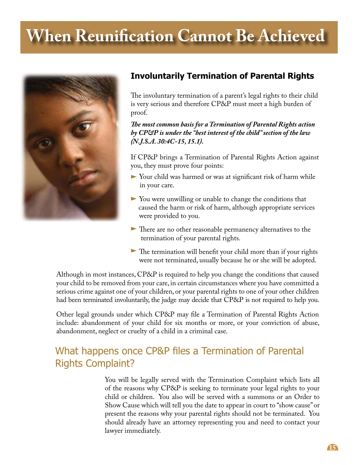# **When Reunification Cannot Be Achieved**



## **Involuntarily Termination of Parental Rights**

The involuntary termination of a parent's legal rights to their child is very serious and therefore CP&P must meet a high burden of proof.

*The most common basis for a Termination of Parental Rights action by CP&P is under the "best interest of the child" section of the law (N.J.S.A. 30:4C-15, 15.1).*

If CP&P brings a Termination of Parental Rights Action against you, they must prove four points:

- Your child was harmed or was at significant risk of harm while in your care.
- You were unwilling or unable to change the conditions that caused the harm or risk of harm, although appropriate services were provided to you.
- There are no other reasonable permanency alternatives to the termination of your parental rights.
- The termination will benefit your child more than if your rights were not terminated, usually because he or she will be adopted.

Although in most instances, CP&P is required to help you change the conditions that caused your child to be removed from your care, in certain circumstances where you have committed a serious crime against one of your children, or your parental rights to one of your other children had been terminated involuntarily, the judge may decide that CP&P is not required to help you.

Other legal grounds under which CP&P may file a Termination of Parental Rights Action include: abandonment of your child for six months or more, or your conviction of abuse, abandonment, neglect or cruelty of a child in a criminal case.

## What happens once CP&P files a Termination of Parental Rights Complaint?

You will be legally served with the Termination Complaint which lists all of the reasons why CP&P is seeking to terminate your legal rights to your child or children. You also will be served with a summons or an Order to Show Cause which will tell you the date to appear in court to "show cause" or present the reasons why your parental rights should not be terminated. You should already have an attorney representing you and need to contact your lawyer immediately.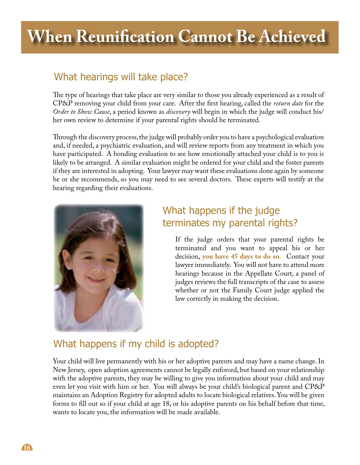# **When Reunification Cannot Be Achieved**

## What hearings will take place?

The type of hearings that take place are very similar to those you already experienced as a result of CP&P removing your child from your care. After the first hearing, called the *return date* for the *Order to Show Cause*, a period known as *discovery* will begin in which the judge will conduct his/ her own review to determine if your parental rights should be terminated.

Through the discovery process, the judge will probably order you to have a psychological evaluation and, if needed, a psychiatric evaluation, and will review reports from any treatment in which you have participated. A bonding evaluation to see how emotionally attached your child is to you is likely to be arranged. A similar evaluation might be ordered for your child and the foster parents if they are interested in adopting. Your lawyer may want these evaluations done again by someone he or she recommends, so you may need to see several doctors. These experts will testify at the hearing regarding their evaluations.



## What happens if the judge terminates my parental rights?

If the judge orders that your parental rights be terminated and you want to appeal his or her decision, **you have 45 days to do so.** Contact your lawyer immediately. You will not have to attend more hearings because in the Appellate Court, a panel of judges reviews the full transcripts of the case to assess whether or not the Family Court judge applied the law correctly in making the decision.

## What happens if my child is adopted?

Your child will live permanently with his or her adoptive parents and may have a name change. In New Jersey, open adoption agreements cannot be legally enforced, but based on your relationship with the adoptive parents, they may be willing to give you information about your child and may even let you visit with him or her. You will always be your child's biological parent and CP&P maintains an Adoption Registry for adopted adults to locate biological relatives. You will be given forms to fill out so if your child at age 18, or his adoptive parents on his behalf before that time, wants to locate you, the information will be made available.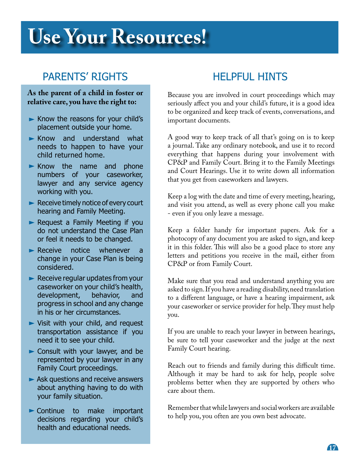# **When Your Resources!**

## PARENTS' RIGHTS

## **As the parent of a child in foster or relative care, you have the right to:**

- $\blacktriangleright$  Know the reasons for your child's placement outside your home.
- $\blacktriangleright$  Know and understand what needs to happen to have your child returned home.
- $\blacktriangleright$  Know the name and phone numbers of your caseworker, lawyer and any service agency working with you.
- Receive timely notice of every court hearing and Family Meeting.
- Request a Family Meeting if you do not understand the Case Plan or feel it needs to be changed.
- Receive notice whenever a change in your Case Plan is being considered.
- $\blacktriangleright$  Receive regular updates from your caseworker on your child's health, development, behavior, and progress in school and any change in his or her circumstances.
- Visit with your child, and request transportation assistance if you need it to see your child.
- Consult with your lawyer, and be represented by your lawyer in any Family Court proceedings.
- Ask questions and receive answers about anything having to do with your family situation.
- **Continue to make important** decisions regarding your child's health and educational needs.

## HELPFUL HINTS

Because you are involved in court proceedings which may seriously affect you and your child's future, it is a good idea to be organized and keep track of events, conversations, and important documents.

A good way to keep track of all that's going on is to keep a journal. Take any ordinary notebook, and use it to record everything that happens during your involvement with CP&P and Family Court. Bring it to the Family Meetings and Court Hearings. Use it to write down all information that you get from caseworkers and lawyers.

Keep a log with the date and time of every meeting, hearing, and visit you attend, as well as every phone call you make - even if you only leave a message.

Keep a folder handy for important papers. Ask for a photocopy of any document you are asked to sign, and keep it in this folder. This will also be a good place to store any letters and petitions you receive in the mail, either from CP&P or from Family Court.

Make sure that you read and understand anything you are asked to sign. If you have a reading disability, need translation to a different language, or have a hearing impairment, ask your caseworker or service provider for help. They must help you.

If you are unable to reach your lawyer in between hearings, be sure to tell your caseworker and the judge at the next Family Court hearing.

Reach out to friends and family during this difficult time. Although it may be hard to ask for help, people solve problems better when they are supported by others who care about them.

Remember that while lawyers and social workers are available to help you, you often are you own best advocate.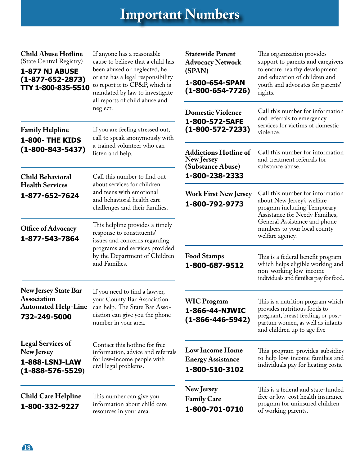# **Important Numbers**

| <b>Child Abuse Hotline</b><br>(State Central Registry)<br><b>1-877 NJ ABUSE</b><br>$(1 - 877 - 652 - 2873)$<br>TTY 1-800-835-5510<br><b>Family Helpline</b> | If anyone has a reasonable<br>cause to believe that a child has<br>been abused or neglected, he<br>or she has a legal responsibility<br>to report it to CP&P, which is<br>mandated by law to investigate<br>all reports of child abuse and<br>neglect.<br>If you are feeling stressed out, | <b>Statewide Parent</b><br><b>Advocacy Network</b><br>(SPAN)<br>1-800-654-SPAN<br>$(1 - 800 - 654 - 7726)$ | This organization provides<br>support to parents and caregivers<br>to ensure healthy development<br>and education of children and<br>youth and advocates for parents'<br>rights. |
|-------------------------------------------------------------------------------------------------------------------------------------------------------------|--------------------------------------------------------------------------------------------------------------------------------------------------------------------------------------------------------------------------------------------------------------------------------------------|------------------------------------------------------------------------------------------------------------|----------------------------------------------------------------------------------------------------------------------------------------------------------------------------------|
|                                                                                                                                                             |                                                                                                                                                                                                                                                                                            | <b>Domestic Violence</b><br>1-800-572-SAFE<br>$(1 - 800 - 572 - 7233)$                                     | Call this number for information<br>and referrals to emergency<br>services for victims of domestic<br>violence.                                                                  |
| 1-800- THE KIDS<br>$(1 - 800 - 843 - 5437)$                                                                                                                 | call to speak anonymously with<br>a trained volunteer who can<br>listen and help.                                                                                                                                                                                                          | <b>Addictions Hotline of</b><br>New Jersey<br>(Substance Abuse)                                            | Call this number for information<br>and treatment referrals for<br>substance abuse.                                                                                              |
| <b>Child Behavioral</b>                                                                                                                                     | Call this number to find out                                                                                                                                                                                                                                                               | 1-800-238-2333                                                                                             |                                                                                                                                                                                  |
| <b>Health Services</b><br>1-877-652-7624                                                                                                                    | about services for children<br>and teens with emotional<br>and behavioral health care<br>challenges and their families.                                                                                                                                                                    | <b>Work First New Jersey</b><br>1-800-792-9773                                                             | Call this number for information<br>about New Jersey's welfare<br>program including Temporary<br>Assistance for Needy Families,                                                  |
| Office of Advocacy<br>1-877-543-7864                                                                                                                        | This helpline provides a timely<br>response to constituents'<br>issues and concerns regarding<br>programs and services provided<br>by the Department of Children<br>and Families.                                                                                                          |                                                                                                            | General Assistance and phone<br>numbers to your local county<br>welfare agency.                                                                                                  |
|                                                                                                                                                             |                                                                                                                                                                                                                                                                                            | <b>Food Stamps</b><br>1-800-687-9512                                                                       | This is a federal benefit program<br>which helps eligible working and<br>non-working low-income<br>individuals and families pay for food.                                        |
| <b>New Jersey State Bar</b><br><b>Association</b><br><b>Automated Help-Line</b><br>732-249-5000                                                             | If you need to find a lawyer,<br>your County Bar Association<br>can help. The State Bar Asso-<br>ciation can give you the phone<br>number in your area.                                                                                                                                    | <b>WIC Program</b><br>1-866-44-NJWIC<br>$(1 - 866 - 446 - 5942)$                                           | This is a nutrition program which<br>provides nutritious foods to<br>pregnant, breast feeding, or post-<br>partum women, as well as infants<br>and children up to age five       |
| <b>Legal Services of</b><br>New Jersey<br>1-888-LSNJ-LAW<br>$(1 - 888 - 576 - 5529)$                                                                        | Contact this hotline for free<br>information, advice and referrals<br>for low-income people with<br>civil legal problems.                                                                                                                                                                  | <b>Low Income Home</b><br><b>Energy Assistance</b><br>1-800-510-3102                                       | This program provides subsidies<br>to help low-income families and<br>individuals pay for heating costs.                                                                         |
| <b>Child Care Helpline</b><br>1-800-332-9227                                                                                                                | This number can give you<br>information about child care<br>resources in your area.                                                                                                                                                                                                        | New Jersey<br><b>Family Care</b><br>1-800-701-0710                                                         | This is a federal and state-funded<br>free or low-cost health insurance<br>program for uninsured children<br>of working parents.                                                 |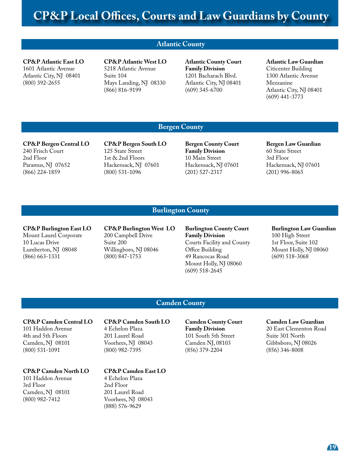### **Atlantic County**

**CP&P Atlantic East LO** 1601 Atlantic Avenue Atlantic City, NJ 08401 (800) 392-2655

**CP&P Atlantic West LO** 5218 Atlantic Avenue Suite 104 Mays Landing, NJ 08330 (866) 816-9199

**Atlantic County Court Family Division** 1201 Bacharach Blvd. Atlantic City, NJ 08401 (609) 345-6700

## **Atlantic Law Guardian**

Citicenter Building 1300 Atlantic Avenue Mezzanine Atlantic City, NJ 08401 (609) 441-3773

### **Bergen County**

**CP&P Bergen Central LO** 240 Frisch Court 2nd Floor Paramus, NJ 07652 (866) 224-1859

**CP&P Bergen South LO** 125 State Street 1st & 2nd Floors Hackensack, NJ 07601 (800) 531-1096

**Bergen County Court Family Division** 10 Main Street Hackensack, NJ 07601 (201) 527-2317

**Bergen Law Guardian** 60 State Street 3rd Floor Hackensack, NJ 07601 (201) 996-8065

### **Burlington County**

**CP&P Burlington East LO** Mount Laurel Corporate 10 Lucas Drive Lumberton, NJ 08048 (866) 663-1331

**CP&P Burlington West LO**  200 Campbell Drive Suite 200 Willingboro, NJ 08046 (800) 847-1753

**Burlington County Court Family Division** Courts Facility and County Office Building 49 Rancocas Road Mount Holly, NJ 08060 (609) 518-2645

**Burlington Law Guardian** 100 High Street 1st Floor, Suite 102 Mount Holly, NJ 08060 (609) 518-3068

### **Camden County**

**CP&P Camden Central LO** 101 Haddon Avenue 4th and 5th Floors Camden, NJ 08101

#### **CP&P Camden North LO**

101 Haddon Avenue 3rd Floor Camden, NJ 08101 (800) 982-7412

(800) 531-1091

**CP&P Camden South LO**  4 Echelon Plaza 201 Laurel Road Voorhees, NJ 08043 (800) 982-7395

**CP&P Camden East LO**

4 Echelon Plaza 2nd Floor 201 Laurel Road Voorhees, NJ 08043 (888) 576-9629

**Camden County Court Family Division** 101 South 5th Street Camden NJ, 08103 (856) 379-2204

**Camden Law Guardian**

20 East Clementon Road Suite 301 North Gibbsboro, NJ 08026 (856) 346-8008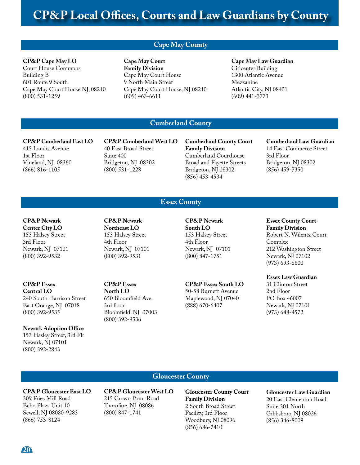## **Cape May County**

#### **CP&P Cape May LO**

Court House Commons Building B 601 Route 9 South Cape May Court House NJ, 08210 (800) 531-1259

**Cape May Court Family Division** Cape May Court House 9 North Main Street Cape May Court House, NJ 08210 (609) 463-6611

**Cape May Law Guardian**  Citicenter Building 1300 Atlantic Avenue Mezzanine Atlantic City, NJ 08401 (609) 441-3773

## **Cumberland County**

**Essex County**

**CP&P Cumberland East LO** 415 Landis Avenue 1st Floor Vineland, NJ 08360 (866) 816-1105

**CP&P Cumberland West LO**  40 East Broad Street Suite 400 Bridgeton, NJ 08302 (800) 531-1228

**Cumberland County Court Family Division** Cumberland Courthouse Broad and Fayette Streets Bridgeton, NJ 08302 (856) 453-4534

**Cumberland Law Guardian** 14 East Commerce Street 3rd Floor Bridgeton, NJ 08302 (856) 459-7350

**CP&P Newark Center City LO** 153 Halsey Street 3rd Floor Newark, NJ 07101 (800) 392-9532

**CP&P Essex Central LO** 240 South Harrison Street East Orange, NJ 07018 (800) 392-9535

**Newark Adoption Office** 153 Hasley Street, 3rd Flr Newark, NJ 07101 (800) 392-2843

**CP&P Newark Northeast LO** 153 Halsey Street 4th Floor Newark, NJ 07101 (800) 392-9531

**CP&P Essex North LO** 650 Bloomfield Ave. 3rd floor Bloomfield, NJ 07003 (800) 392-9536

**CP&P Newark South LO** 153 Halsey Street 4th Floor Newark, NJ 07101 (800) 847-1751

**CP&P Essex South LO**

50-58 Burnett Avenue Maplewood, NJ 07040 (888) 670-6407

### **Essex County Court Family Division** Robert N. Wilentz Court Complex 212 Washington Street Newark, NJ 07102 (973) 693-6600

**Essex Law Guardian**

31 Clinton Street 2nd Floor PO Box 46007 Newark, NJ 07101 (973) 648-4572

### **Gloucester County**

**CP&P Gloucester East LO** 309 Fries Mill Road Echo Plaza Unit 10 Sewell, NJ 08080-9283 (866) 753-8124

**CP&P Gloucester West LO** 215 Crown Point Road Thorofare, NJ 08086 (800) 847-1741

**Gloucester County Court Family Division** 2 South Broad Street Facility, 3rd Floor Woodbury, NJ 08096 (856) 686-7410

**Gloucester Law Guardian**

20 East Clementon Road Suite 301 North Gibbsboro, NJ 08026 (856) 346-8008

**20**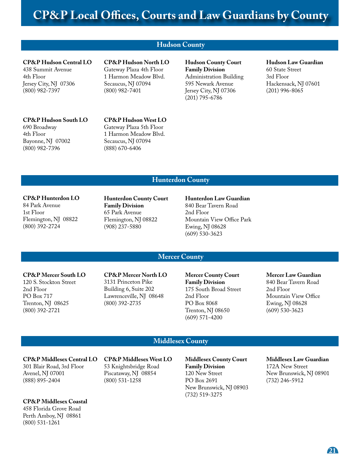## **Hudson County**

## **CP&P Hudson Central LO**

438 Summit Avenue 4th Floor Jersey City, NJ 07306 (800) 982-7397

## **CP&P Hudson South LO**

690 Broadway 4th Floor Bayonne, NJ 07002 (800) 982-7396

**CP&P Hudson North LO** Gateway Plaza 4th Floor 1 Harmon Meadow Blvd. Secaucus, NJ 07094 (800) 982-7401

**Hudson County Court Family Division** Administration Building 595 Newark Avenue Jersey City, NJ 07306 (201) 795-6786

#### **Hudson Law Guardian** 60 State Street

3rd Floor Hackensack, NJ 07601 (201) 996-8065

### **CP&P Hudson West LO**  Gateway Plaza 5th Floor 1 Harmon Meadow Blvd. Secaucus, NJ 07094 (888) 670-6406

### **Hunterdon County**

#### **CP&P Hunterdon LO**

84 Park Avenue 1st Floor Flemington, NJ 08822 (800) 392-2724

**Hunterdon County Court Family Division** 65 Park Avenue Flemington, NJ 08822 (908) 237-5880

#### **Hunterdon Law Guardian**

840 Bear Tavern Road 2nd Floor Mountain View Office Park Ewing, NJ 08628 (609) 530-3623

### **Mercer County**

### **CP&P Mercer South LO**

120 S. Stockton Street 2nd Floor PO Box 717 Trenton, NJ 08625 (800) 392-2721

**CP&P Mercer North LO** 3131 Princeton Pike Building 6, Suite 202 Lawrenceville, NJ 08648 (800) 392-2735

**Mercer County Court Family Division** 175 South Broad Street 2nd Floor PO Box 8068 Trenton, NJ 08650 (609) 571-4200

### **Mercer Law Guardian**

840 Bear Tavern Road 2nd Floor Mountain View Office Ewing, NJ 08628 (609) 530-3623

### **Middlesex County**

#### **CP&P Middlesex Central LO**  301 Blair Road, 3rd Floor

Avenel, NJ 07001 (888) 895-2404

#### **CP&P Middlesex Coastal**

458 Florida Grove Road Perth Amboy, NJ 08861 (800) 531-1261

**CP&P Middlesex West LO** 53 Knightsbridge Road Piscataway, NJ 08854 (800) 531-1258

**Middlesex County Court Family Division** 120 New Street PO Box 2691 New Brunswick, NJ 08903 (732) 519-3275

### **Middlesex Law Guardian**

172A New Street New Brunswick, NJ 08901 (732) 246-5912

**21**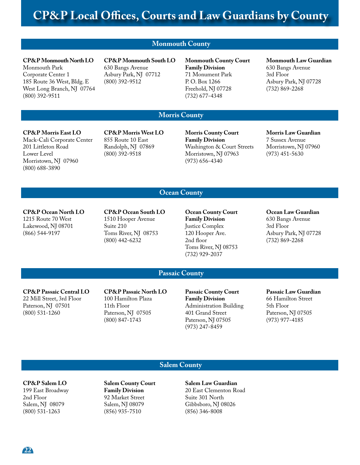**Monmouth County**

## **CP&P Monmouth North LO**

Monmouth Park Corporate Center 1 185 Route 36 West, Bldg. E West Long Branch, NJ 07764 (800) 392-9511

**CP&P Monmouth South LO**  630 Bangs Avenue Asbury Park, NJ 07712 (800) 392-9512

**Monmouth County Court Family Division** 71 Monument Park P. O. Box 1266 Freehold, NJ 07728 (732) 677-4348

#### **Monmouth Law Guardian** 630 Bangs Avenue 3rd Floor Asbury Park, NJ 07728

## **Morris County**

### **CP&P Morris East LO**

Mack-Cali Corporate Center 201 Littleton Road Lower Level Morristown, NJ 07960 (800) 688-3890

**CP&P Morris West LO** 855 Route 10 East Randolph, NJ 07869 (800) 392-9518

**Morris County Court Family Division** Washington & Court Streets Morristown, NJ 07963 (973) 656-4340

### **Morris Law Guardian**

(732) 869-2268

7 Sussex Avenue Morristown, NJ 07960 (973) 451-5630

### **Ocean County**

**CP&P Ocean North LO**  1215 Route 70 West Lakewood, NJ 08701 (866) 544-9197

**CP&P Ocean South LO** 1510 Hooper Avenue Suite 210 Toms River, NJ 08753 (800) 442-6232

**Ocean County Court Family Division** Justice Complex 120 Hooper Ave. 2nd floor Toms River, NJ 08753 (732) 929-2037

**Ocean Law Guardian**

630 Bangs Avenue 3rd Floor Asbury Park, NJ 07728 (732) 869-2268

### **Passaic County**

**CP&P Passaic Central LO**  22 Mill Street, 3rd Floor Paterson, NJ 07501 (800) 531-1260

**CP&P Passaic North LO** 100 Hamilton Plaza 11th Floor Paterson, NJ 07505 (800) 847-1743

**Passaic County Court Family Division** Administration Building 401 Grand Street Paterson, NJ 07505 (973) 247-8459

**Passaic Law Guardian** 66 Hamilton Street 5th Floor Paterson, NJ 07505 (973) 977-4185

### **Salem County**

#### **CP&P Salem LO** 199 East Broadway

2nd Floor Salem, NJ 08079 (800) 531-1263

**Salem County Court Family Division** 92 Market Street Salem, NJ 08079 (856) 935-7510

**Salem Law Guardian** 20 East Clementon Road Suite 301 North Gibbsboro, NJ 08026 (856) 346-8008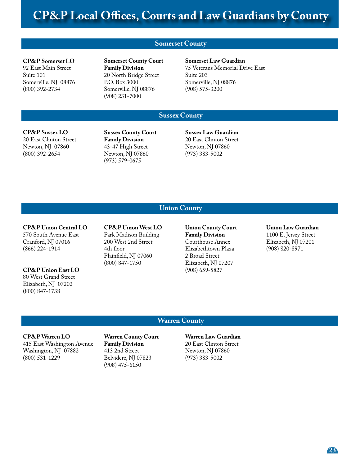## **Somerset County**

#### **CP&P Somerset LO**

92 East Main Street Suite 101 Somerville, NJ 08876 (800) 392-2734

**Somerset County Court Family Division** 20 North Bridge Street P.O. Box 3000 Somerville, NJ 08876 (908) 231-7000

**Somerset Law Guardian** 75 Veterans Memorial Drive East Suite 203 Somerville, NJ 08876 (908) 575-3200

### **Sussex County**

#### **CP&P Sussex LO** 20 East Clinton Street Newton, NJ 07860 (800) 392-2654

**Sussex County Court Family Division** 43-47 High Street Newton, NJ 07860 (973) 579-0675

**Sussex Law Guardian** 20 East Clinton Street Newton, NJ 07860 (973) 383-5002

### **Union County**

### **CP&P Union Central LO** 570 South Avenue East Cranford, NJ 07016 (866) 224-1914

## **CP&P Union East LO**

80 West Grand Street Elizabeth, NJ 07202 (800) 847-1738

**CP&P Union West LO**  Park Madison Building 200 West 2nd Street 4th floor Plainfield, NJ 07060 (800) 847-1750

**Union County Court Family Division** Courthouse Annex Elizabethtown Plaza 2 Broad Street Elizabeth, NJ 07207 (908) 659-5827

**Union Law Guardian** 1100 E. Jersey Street Elizabeth, NJ 07201 (908) 820-8971

### **Warren County**

### **CP&P Warren LO** 415 East Washington Avenue Washington, NJ 07882 (800) 531-1229

**Warren County Court Family Division** 413 2nd Street Belvidere, NJ 07823 (908) 475-6150

**Warren Law Guardian** 20 East Clinton Street Newton, NJ 07860 (973) 383-5002